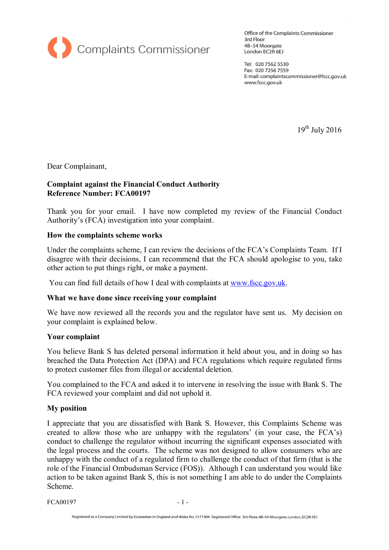

Office of the Complaints Commissioner 3rd Floor 48-54 Moorgate London EC2R 6EJ

Tel: 020 7562 5530 Fax: 020 7256 7559 E-mail: complaintscommissioner@fscc.gov.uk www.fscc.gov.uk

 $19^{th}$  July 2016

Dear Complainant,

## **Complaint against the Financial Conduct Authority Reference Number: FCA00197**

Thank you for your email. I have now completed my review of the Financial Conduct Authority's (FCA) investigation into your complaint.

### **How the complaints scheme works**

Under the complaints scheme, I can review the decisions of the FCA's Complaints Team. If I disagree with their decisions, I can recommend that the FCA should apologise to you, take other action to put things right, or make a payment.

You can find full details of how I deal with complaints at www.fscc.gov.uk.

### **What we have done since receiving your complaint**

We have now reviewed all the records you and the regulator have sent us. My decision on your complaint is explained below.

#### **Your complaint**

You believe Bank S has deleted personal information it held about you, and in doing so has breached the Data Protection Act (DPA) and FCA regulations which require regulated firms to protect customer files from illegal or accidental deletion.

You complained to the FCA and asked it to intervene in resolving the issue with Bank S. The FCA reviewed your complaint and did not uphold it.

### **My position**

Scheme.<br>FCA00197 - 1 -I appreciate that you are dissatisfied with Bank S. However, this Complaints Scheme was created to allow those who are unhappy with the regulators' (in your case, the FCA's) conduct to challenge the regulator without incurring the significant expenses associated with<br>the legal process and the courts. The scheme was not designed to allow consumers who are<br>unhappy with the conduct of a regulated the legal process and the courts. The scheme was not designed to allow consumers who are unhappy with the conduct of a regulated firm to challenge the conduct of that firm (that is the role of the Financial Ombudsman Servi action to be taken against Bank S, this is not something I am able to do under the Complaints Scheme.